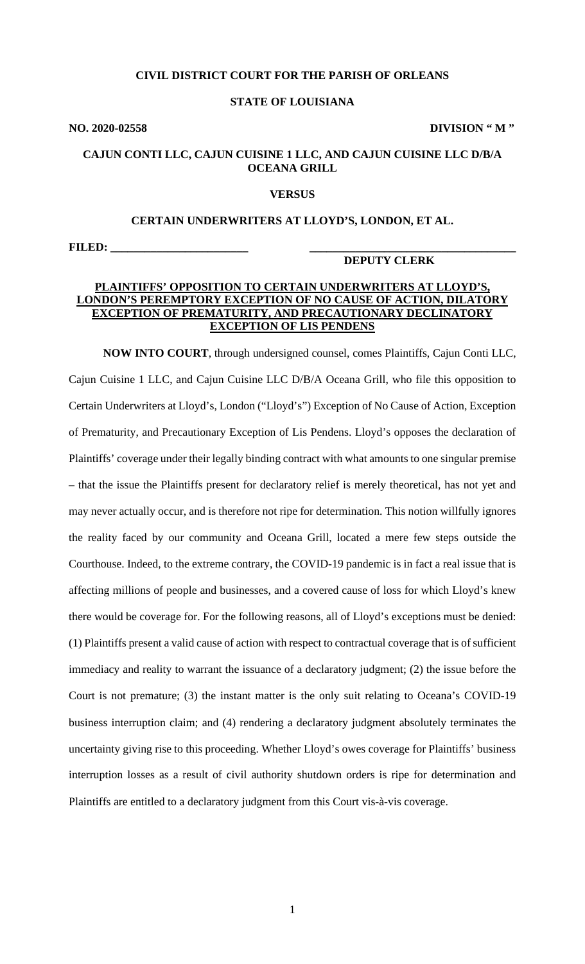### **CIVIL DISTRICT COURT FOR THE PARISH OF ORLEANS**

#### **STATE OF LOUISIANA**

**NO. 2020-02558 DIVISION " M "**

## **CAJUN CONTI LLC, CAJUN CUISINE 1 LLC, AND CAJUN CUISINE LLC D/B/A OCEANA GRILL**

#### **VERSUS**

#### **CERTAIN UNDERWRITERS AT LLOYD'S, LONDON, ET AL.**

**FILED: \_\_\_\_\_\_\_\_\_\_\_\_\_\_\_\_\_\_\_\_\_\_\_\_ \_\_\_\_\_\_\_\_\_\_\_\_\_\_\_\_\_\_\_\_\_\_\_\_\_\_\_\_\_\_\_\_\_\_\_\_**

#### **DEPUTY CLERK**

# **PLAINTIFFS' OPPOSITION TO CERTAIN UNDERWRITERS AT LLOYD'S, LONDON'S PEREMPTORY EXCEPTION OF NO CAUSE OF ACTION, DILATORY EXCEPTION OF PREMATURITY, AND PRECAUTIONARY DECLINATORY EXCEPTION OF LIS PENDENS**

**NOW INTO COURT**, through undersigned counsel, comes Plaintiffs, Cajun Conti LLC, Cajun Cuisine 1 LLC, and Cajun Cuisine LLC D/B/A Oceana Grill, who file this opposition to Certain Underwriters at Lloyd's, London ("Lloyd's") Exception of No Cause of Action, Exception of Prematurity, and Precautionary Exception of Lis Pendens. Lloyd's opposes the declaration of Plaintiffs' coverage under their legally binding contract with what amounts to one singular premise – that the issue the Plaintiffs present for declaratory relief is merely theoretical, has not yet and may never actually occur, and is therefore not ripe for determination. This notion willfully ignores the reality faced by our community and Oceana Grill, located a mere few steps outside the Courthouse. Indeed, to the extreme contrary, the COVID-19 pandemic is in fact a real issue that is affecting millions of people and businesses, and a covered cause of loss for which Lloyd's knew there would be coverage for. For the following reasons, all of Lloyd's exceptions must be denied: (1) Plaintiffs present a valid cause of action with respect to contractual coverage that is of sufficient immediacy and reality to warrant the issuance of a declaratory judgment; (2) the issue before the Court is not premature; (3) the instant matter is the only suit relating to Oceana's COVID-19 business interruption claim; and (4) rendering a declaratory judgment absolutely terminates the uncertainty giving rise to this proceeding. Whether Lloyd's owes coverage for Plaintiffs' business interruption losses as a result of civil authority shutdown orders is ripe for determination and Plaintiffs are entitled to a declaratory judgment from this Court vis-à-vis coverage.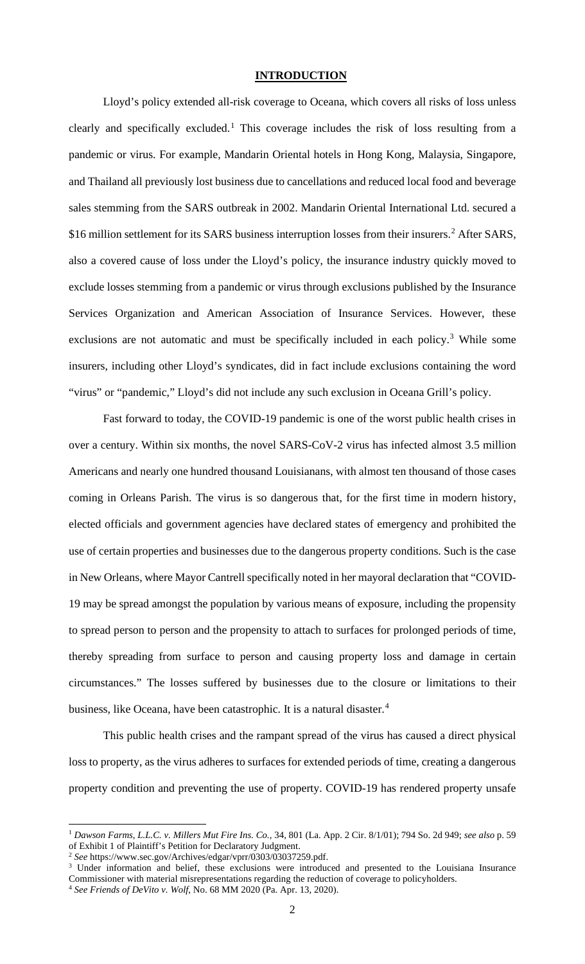#### **INTRODUCTION**

Lloyd's policy extended all-risk coverage to Oceana, which covers all risks of loss unless clearly and specifically excluded.<sup>[1](#page-1-0)</sup> This coverage includes the risk of loss resulting from a pandemic or virus. For example, Mandarin Oriental hotels in Hong Kong, Malaysia, Singapore, and Thailand all previously lost business due to cancellations and reduced local food and beverage sales stemming from the SARS outbreak in 2002. Mandarin Oriental International Ltd. secured a \$16 million settlement for its SARS business interruption losses from their insurers.<sup>[2](#page-1-1)</sup> After SARS, also a covered cause of loss under the Lloyd's policy, the insurance industry quickly moved to exclude losses stemming from a pandemic or virus through exclusions published by the Insurance Services Organization and American Association of Insurance Services. However, these exclusions are not automatic and must be specifically included in each policy.<sup>[3](#page-1-2)</sup> While some insurers, including other Lloyd's syndicates, did in fact include exclusions containing the word "virus" or "pandemic," Lloyd's did not include any such exclusion in Oceana Grill's policy.

Fast forward to today, the COVID-19 pandemic is one of the worst public health crises in over a century. Within six months, the novel SARS-CoV-2 virus has infected almost 3.5 million Americans and nearly one hundred thousand Louisianans, with almost ten thousand of those cases coming in Orleans Parish. The virus is so dangerous that, for the first time in modern history, elected officials and government agencies have declared states of emergency and prohibited the use of certain properties and businesses due to the dangerous property conditions. Such is the case in New Orleans, where Mayor Cantrell specifically noted in her mayoral declaration that "COVID-19 may be spread amongst the population by various means of exposure, including the propensity to spread person to person and the propensity to attach to surfaces for prolonged periods of time, thereby spreading from surface to person and causing property loss and damage in certain circumstances." The losses suffered by businesses due to the closure or limitations to their business, like Oceana, have been catastrophic. It is a natural disaster.<sup>[4](#page-1-3)</sup>

This public health crises and the rampant spread of the virus has caused a direct physical loss to property, as the virus adheres to surfaces for extended periods of time, creating a dangerous property condition and preventing the use of property. COVID-19 has rendered property unsafe

<span id="page-1-0"></span><sup>1</sup> *Dawson Farms, L.L.C. v. Millers Mut Fire Ins. Co.,* 34, 801 (La. App. 2 Cir. 8/1/01); 794 So. 2d 949; *see also* p. 59 of Exhibit 1 of Plaintiff's Petition for Declaratory Judgment.

<span id="page-1-1"></span><sup>2</sup> *See* [https://www.sec.gov/Archives/edgar/vprr/0303/03037259.pdf.](https://www.sec.gov/Archives/edgar/vprr/0303/03037259.pdf)

<span id="page-1-2"></span><sup>&</sup>lt;sup>3</sup> Under information and belief, these exclusions were introduced and presented to the Louisiana Insurance Commissioner with material misrepresentations regarding the reduction of coverage to policyholders. 4 *See Friends of DeVito v. Wolf*, No. 68 MM 2020 (Pa. Apr. 13, 2020).

<span id="page-1-3"></span>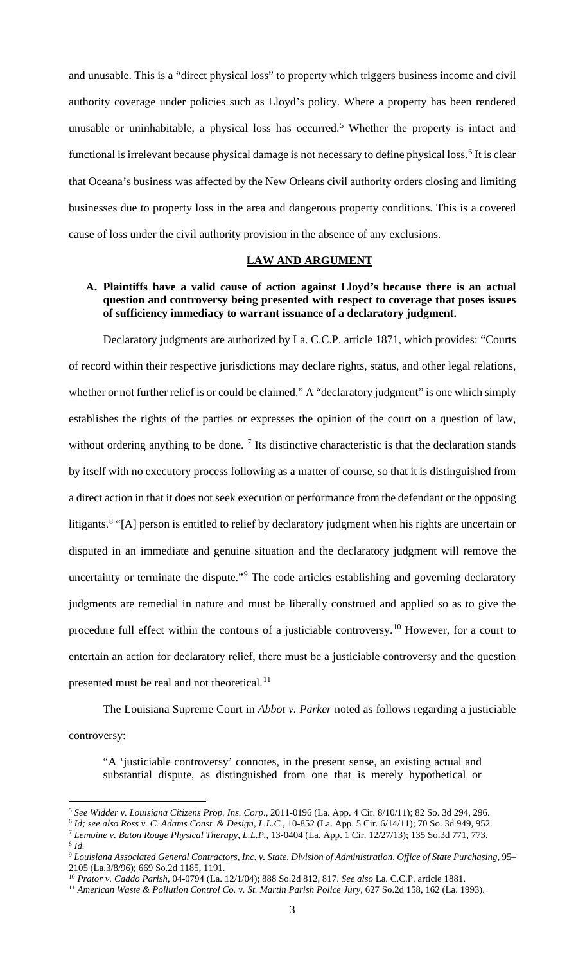and unusable. This is a "direct physical loss" to property which triggers business income and civil authority coverage under policies such as Lloyd's policy. Where a property has been rendered unusable or uninhabitable, a physical loss has occurred.<sup>[5](#page-2-0)</sup> Whether the property is intact and functional is irrelevant because physical damage is not necessary to define physical loss.<sup>[6](#page-2-1)</sup> It is clear that Oceana's business was affected by the New Orleans civil authority orders closing and limiting businesses due to property loss in the area and dangerous property conditions. This is a covered cause of loss under the civil authority provision in the absence of any exclusions.

#### **LAW AND ARGUMENT**

## **A. Plaintiffs have a valid cause of action against Lloyd's because there is an actual question and controversy being presented with respect to coverage that poses issues of sufficiency immediacy to warrant issuance of a declaratory judgment.**

Declaratory judgments are authorized by La. C.C.P. article 1871, which provides: "Courts of record within their respective jurisdictions may declare rights, status, and other legal relations, whether or not further relief is or could be claimed." A "declaratory judgment" is one which simply establishes the rights of the parties or expresses the opinion of the court on a question of law, without ordering anything to be done.<sup>[7](#page-2-2)</sup> Its distinctive characteristic is that the declaration stands by itself with no executory process following as a matter of course, so that it is distinguished from a direct action in that it does not seek execution or performance from the defendant or the opposing litigants.<sup>[8](#page-2-3)</sup> "[A] person is entitled to relief by declaratory judgment when his rights are uncertain or disputed in an immediate and genuine situation and the declaratory judgment will remove the uncertainty or terminate the dispute."<sup>[9](#page-2-4)</sup> The code articles establishing and governing declaratory judgments are remedial in nature and must be liberally construed and applied so as to give the procedure full effect within the contours of a justiciable controversy.[10](#page-2-5) However, for a court to entertain an action for declaratory relief, there must be a justiciable controversy and the question presented must be real and not theoretical.<sup>[11](#page-2-6)</sup>

The Louisiana Supreme Court in *Abbot v. Parker* noted as follows regarding a justiciable

controversy:

"A 'justiciable controversy' connotes, in the present sense, an existing actual and substantial dispute, as distinguished from one that is merely hypothetical or

<span id="page-2-0"></span><sup>5</sup> *See Widder v. Louisiana Citizens Prop. Ins. Corp*., 2011-0196 (La. App. 4 Cir. 8/10/11); 82 So. 3d 294, 296.

<sup>&</sup>lt;sup>6</sup> *Id; see also Ross v. C. Adams Const. & Design, L.L.C., 10-852 (La. App. 5 Cir. 6/14/11); 70 So. 3d 949, 952.*<br><sup>7</sup> Lemoine v. Baton Rouge Physical Therapy, L.L.P., 13-0404 (La. App. 1 Cir. 12/27/13); 135 So.3d 771, 773

<span id="page-2-4"></span><span id="page-2-3"></span><span id="page-2-2"></span><span id="page-2-1"></span>

<sup>&</sup>lt;sup>8</sup> Id.<br><sup>9</sup> Louisiana Associated General Contractors, Inc. v. State, Division of Administration, Office of State Purchasing, 95– 2105 (La.3/8/96); 669 So.2d 1185, 1191.

<span id="page-2-5"></span><sup>10</sup> *Prator v. Caddo Parish*, 04-0794 (La. 12/1/04); 888 So.2d 812, 817. *See also* La. C.C.P. article 1881.

<span id="page-2-6"></span><sup>11</sup> *American Waste & Pollution Control Co. v. St. Martin Parish Police Jury*, 627 So.2d 158, 162 (La. 1993).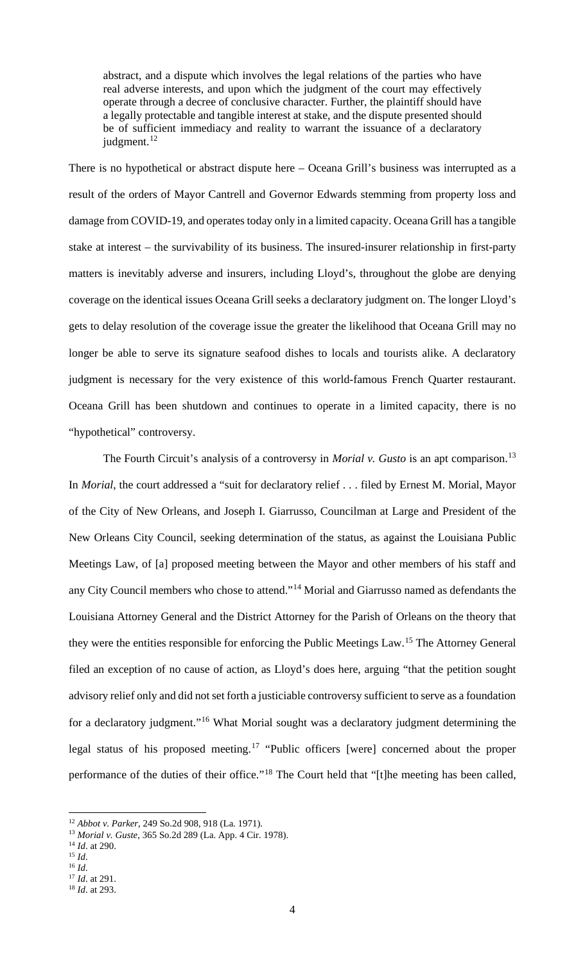abstract, and a dispute which involves the legal relations of the parties who have real adverse interests, and upon which the judgment of the court may effectively operate through a decree of conclusive character. Further, the plaintiff should have a legally protectable and tangible interest at stake, and the dispute presented should be of sufficient immediacy and reality to warrant the issuance of a declaratory judgment.<sup>[12](#page-3-0)</sup>

There is no hypothetical or abstract dispute here – Oceana Grill's business was interrupted as a result of the orders of Mayor Cantrell and Governor Edwards stemming from property loss and damage from COVID-19, and operates today only in a limited capacity. Oceana Grill has a tangible stake at interest – the survivability of its business. The insured-insurer relationship in first-party matters is inevitably adverse and insurers, including Lloyd's, throughout the globe are denying coverage on the identical issues Oceana Grill seeks a declaratory judgment on. The longer Lloyd's gets to delay resolution of the coverage issue the greater the likelihood that Oceana Grill may no longer be able to serve its signature seafood dishes to locals and tourists alike. A declaratory judgment is necessary for the very existence of this world-famous French Quarter restaurant. Oceana Grill has been shutdown and continues to operate in a limited capacity, there is no "hypothetical" controversy.

The Fourth Circuit's analysis of a controversy in *Morial v. Gusto* is an apt comparison. [13](#page-3-1) In *Morial*, the court addressed a "suit for declaratory relief . . . filed by Ernest M. Morial, Mayor of the City of New Orleans, and Joseph I. Giarrusso, Councilman at Large and President of the New Orleans City Council, seeking determination of the status, as against the Louisiana Public Meetings Law, of [a] proposed meeting between the Mayor and other members of his staff and any City Council members who chose to attend."<sup>[14](#page-3-2)</sup> Morial and Giarrusso named as defendants the Louisiana Attorney General and the District Attorney for the Parish of Orleans on the theory that they were the entities responsible for enforcing the Public Meetings Law.[15](#page-3-3) The Attorney General filed an exception of no cause of action, as Lloyd's does here, arguing "that the petition sought advisory relief only and did not set forth a justiciable controversy sufficient to serve as a foundation for a declaratory judgment."<sup>[16](#page-3-4)</sup> What Morial sought was a declaratory judgment determining the legal status of his proposed meeting.<sup>[17](#page-3-5)</sup> "Public officers [were] concerned about the proper performance of the duties of their office."<sup>[18](#page-3-6)</sup> The Court held that "[t]he meeting has been called,

<span id="page-3-5"></span><span id="page-3-4"></span><span id="page-3-3"></span><sup>16</sup> *Id*.

<span id="page-3-0"></span><sup>12</sup> *Abbot v. Parker*, 249 So.2d 908, 918 (La. 1971).

<span id="page-3-1"></span><sup>13</sup> *Morial v. Guste*, 365 So.2d 289 (La. App. 4 Cir. 1978).

<span id="page-3-2"></span><sup>14</sup> *Id*. at 290.

<sup>15</sup> *Id*.

<sup>17</sup> *Id*. at 291.

<span id="page-3-6"></span><sup>18</sup> *Id*. at 293.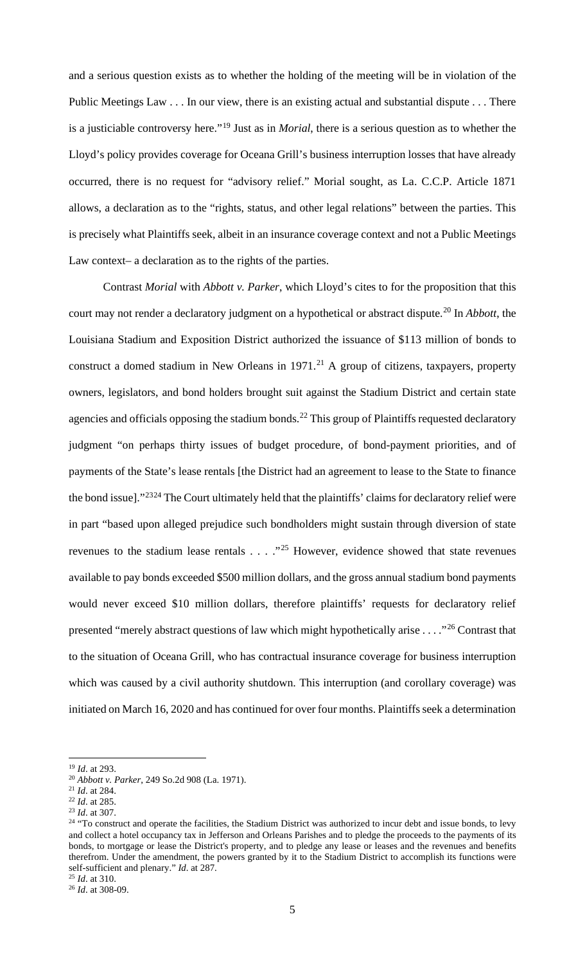and a serious question exists as to whether the holding of the meeting will be in violation of the Public Meetings Law . . . In our view, there is an existing actual and substantial dispute . . . There is a justiciable controversy here."[19](#page-4-0) Just as in *Morial*, there is a serious question as to whether the Lloyd's policy provides coverage for Oceana Grill's business interruption losses that have already occurred, there is no request for "advisory relief." Morial sought, as La. C.C.P. Article 1871 allows, a declaration as to the "rights, status, and other legal relations" between the parties. This is precisely what Plaintiffs seek, albeit in an insurance coverage context and not a Public Meetings Law context– a declaration as to the rights of the parties.

Contrast *Morial* with *Abbott v. Parker*, which Lloyd's cites to for the proposition that this court may not render a declaratory judgment on a hypothetical or abstract dispute.[20](#page-4-1) In *Abbott*, the Louisiana Stadium and Exposition District authorized the issuance of \$113 million of bonds to construct a domed stadium in New Orleans in  $1971$ .<sup>[21](#page-4-2)</sup> A group of citizens, taxpayers, property owners, legislators, and bond holders brought suit against the Stadium District and certain state agencies and officials opposing the stadium bonds.<sup>[22](#page-4-3)</sup> This group of Plaintiffs requested declaratory judgment "on perhaps thirty issues of budget procedure, of bond-payment priorities, and of payments of the State's lease rentals [the District had an agreement to lease to the State to finance the bond issue]."[23](#page-4-4)[24](#page-4-5) The Court ultimately held that the plaintiffs' claims for declaratory relief were in part "based upon alleged prejudice such bondholders might sustain through diversion of state revenues to the stadium lease rentals . . . . "<sup>[25](#page-4-6)</sup> However, evidence showed that state revenues available to pay bonds exceeded \$500 million dollars, and the gross annual stadium bond payments would never exceed \$10 million dollars, therefore plaintiffs' requests for declaratory relief presented "merely abstract questions of law which might hypothetically arise  $\ldots$ ."<sup>[26](#page-4-7)</sup> Contrast that to the situation of Oceana Grill, who has contractual insurance coverage for business interruption which was caused by a civil authority shutdown. This interruption (and corollary coverage) was initiated on March 16, 2020 and has continued for over four months. Plaintiffs seek a determination

<span id="page-4-0"></span><sup>19</sup> *Id*. at 293.

<span id="page-4-1"></span><sup>20</sup> *Abbott v. Parker*, 249 So.2d 908 (La. 1971).

<span id="page-4-2"></span><sup>&</sup>lt;sup>21</sup> *Id.* at 284.<br><sup>22</sup> *Id.* at 285.

<span id="page-4-4"></span><span id="page-4-3"></span><sup>&</sup>lt;sup>23</sup> *Id.* at 307.

<span id="page-4-5"></span><sup>&</sup>lt;sup>24</sup> "To construct and operate the facilities, the Stadium District was authorized to incur debt and issue bonds, to levy and collect a hotel occupancy tax in Jefferson and Orleans Parishes and to pledge the proceeds to the payments of its bonds, to mortgage or lease the District's property, and to pledge any lease or leases and the revenues and benefits therefrom. Under the amendment, the powers granted by it to the Stadium District to accomplish its functions were self-sufficient and plenary." *Id*. at 287.

<span id="page-4-6"></span><sup>25</sup> *Id*. at 310.

<span id="page-4-7"></span><sup>26</sup> *Id*. at 308-09.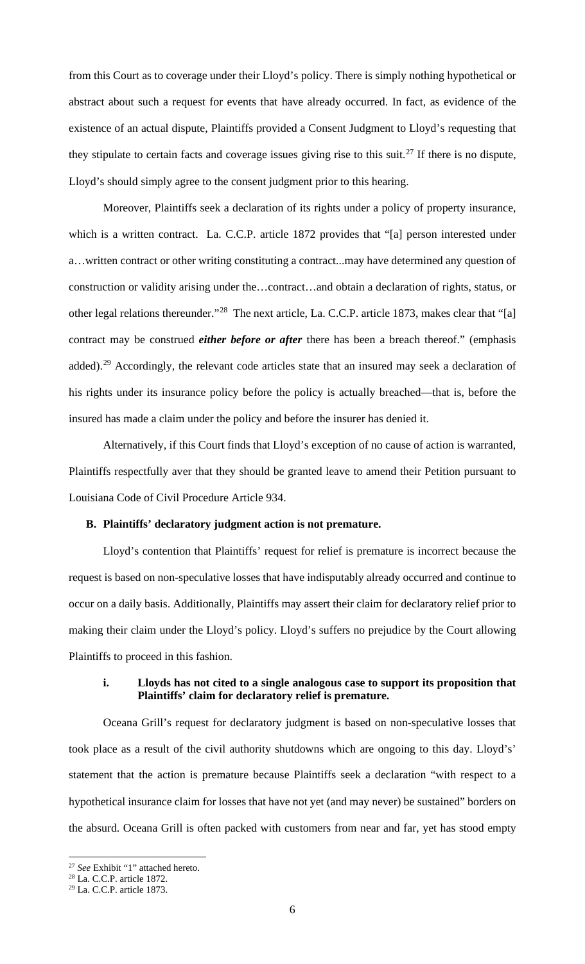from this Court as to coverage under their Lloyd's policy. There is simply nothing hypothetical or abstract about such a request for events that have already occurred. In fact, as evidence of the existence of an actual dispute, Plaintiffs provided a Consent Judgment to Lloyd's requesting that they stipulate to certain facts and coverage issues giving rise to this suit.<sup>[27](#page-5-0)</sup> If there is no dispute, Lloyd's should simply agree to the consent judgment prior to this hearing.

Moreover, Plaintiffs seek a declaration of its rights under a policy of property insurance, which is a written contract. La. C.C.P. article 1872 provides that "[a] person interested under a…written contract or other writing constituting a contract...may have determined any question of construction or validity arising under the…contract…and obtain a declaration of rights, status, or other legal relations thereunder."[28](#page-5-1) The next article, La. C.C.P. article 1873, makes clear that "[a] contract may be construed *either before or after* there has been a breach thereof." (emphasis added).<sup>[29](#page-5-2)</sup> Accordingly, the relevant code articles state that an insured may seek a declaration of his rights under its insurance policy before the policy is actually breached—that is, before the insured has made a claim under the policy and before the insurer has denied it.

Alternatively, if this Court finds that Lloyd's exception of no cause of action is warranted, Plaintiffs respectfully aver that they should be granted leave to amend their Petition pursuant to Louisiana Code of Civil Procedure Article 934.

## **B. Plaintiffs' declaratory judgment action is not premature.**

Lloyd's contention that Plaintiffs' request for relief is premature is incorrect because the request is based on non-speculative losses that have indisputably already occurred and continue to occur on a daily basis. Additionally, Plaintiffs may assert their claim for declaratory relief prior to making their claim under the Lloyd's policy. Lloyd's suffers no prejudice by the Court allowing Plaintiffs to proceed in this fashion.

# **i. Lloyds has not cited to a single analogous case to support its proposition that Plaintiffs' claim for declaratory relief is premature.**

Oceana Grill's request for declaratory judgment is based on non-speculative losses that took place as a result of the civil authority shutdowns which are ongoing to this day. Lloyd's' statement that the action is premature because Plaintiffs seek a declaration "with respect to a hypothetical insurance claim for losses that have not yet (and may never) be sustained" borders on the absurd. Oceana Grill is often packed with customers from near and far, yet has stood empty

<span id="page-5-0"></span><sup>27</sup> *See* Exhibit "1" attached hereto.

<span id="page-5-1"></span><sup>28</sup> La. C.C.P. article 1872.

<span id="page-5-2"></span><sup>29</sup> La. C.C.P. article 1873.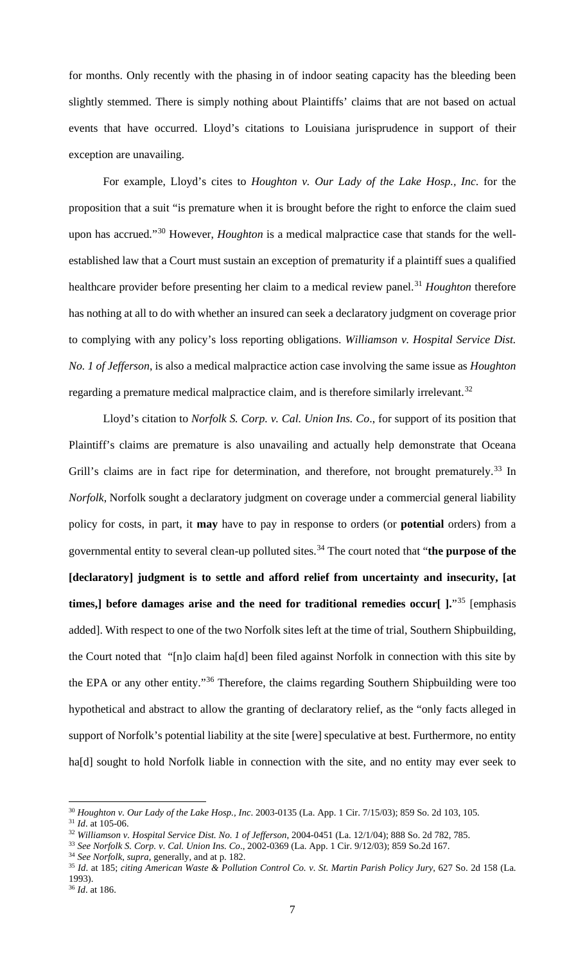for months. Only recently with the phasing in of indoor seating capacity has the bleeding been slightly stemmed. There is simply nothing about Plaintiffs' claims that are not based on actual events that have occurred. Lloyd's citations to Louisiana jurisprudence in support of their exception are unavailing.

For example, Lloyd's cites to *Houghton v. Our Lady of the Lake Hosp., Inc*. for the proposition that a suit "is premature when it is brought before the right to enforce the claim sued upon has accrued."[30](#page-6-0) However, *Houghton* is a medical malpractice case that stands for the wellestablished law that a Court must sustain an exception of prematurity if a plaintiff sues a qualified healthcare provider before presenting her claim to a medical review panel.<sup>[31](#page-6-1)</sup> *Houghton* therefore has nothing at all to do with whether an insured can seek a declaratory judgment on coverage prior to complying with any policy's loss reporting obligations. *Williamson v. Hospital Service Dist. No. 1 of Jefferson*, is also a medical malpractice action case involving the same issue as *Houghton* regarding a premature medical malpractice claim, and is therefore similarly irrelevant.<sup>[32](#page-6-2)</sup>

Lloyd's citation to *Norfolk S. Corp. v. Cal. Union Ins. Co*., for support of its position that Plaintiff's claims are premature is also unavailing and actually help demonstrate that Oceana Grill's claims are in fact ripe for determination, and therefore, not brought prematurely.<sup>[33](#page-6-3)</sup> In *Norfolk*, Norfolk sought a declaratory judgment on coverage under a commercial general liability policy for costs, in part, it **may** have to pay in response to orders (or **potential** orders) from a governmental entity to several clean-up polluted sites. [34](#page-6-4) The court noted that "**the purpose of the [declaratory] judgment is to settle and afford relief from uncertainty and insecurity, [at times,]** before damages arise and the need for traditional remedies occur[  $\cdot$ <sup>"[35](#page-6-5)</sup> [emphasis] added]. With respect to one of the two Norfolk sites left at the time of trial, Southern Shipbuilding, the Court noted that "[n]o claim ha[d] been filed against Norfolk in connection with this site by the EPA or any other entity."[36](#page-6-6) Therefore, the claims regarding Southern Shipbuilding were too hypothetical and abstract to allow the granting of declaratory relief, as the "only facts alleged in support of Norfolk's potential liability at the site [were] speculative at best. Furthermore, no entity ha[d] sought to hold Norfolk liable in connection with the site, and no entity may ever seek to

<span id="page-6-4"></span><sup>34</sup> *See Norfolk, supra*, generally, and at p. 182.

<span id="page-6-0"></span><sup>30</sup> *Houghton v. Our Lady of the Lake Hosp., Inc*. 2003-0135 (La. App. 1 Cir. 7/15/03); 859 So. 2d 103, 105.

<sup>31</sup> *Id*. at 105-06.

<span id="page-6-2"></span><span id="page-6-1"></span><sup>32</sup> *Williamson v. Hospital Service Dist. No. 1 of Jefferson*, 2004-0451 (La. 12/1/04); 888 So. 2d 782, 785.

<span id="page-6-3"></span><sup>33</sup> *See Norfolk S. Corp. v. Cal. Union Ins. Co*., 2002-0369 (La. App. 1 Cir. 9/12/03); 859 So.2d 167.

<span id="page-6-5"></span><sup>35</sup> *Id*. at 185; *citing American Waste & Pollution Control Co. v. St. Martin Parish Policy Jury*, 627 So. 2d 158 (La. 1993).

<span id="page-6-6"></span><sup>36</sup> *Id*. at 186.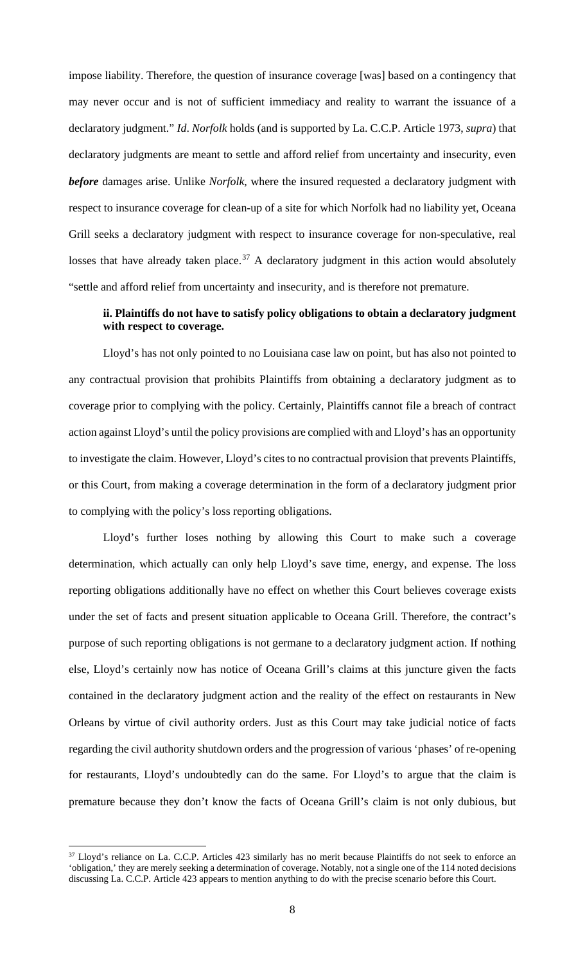impose liability. Therefore, the question of insurance coverage [was] based on a contingency that may never occur and is not of sufficient immediacy and reality to warrant the issuance of a declaratory judgment." *Id*. *Norfolk* holds (and is supported by La. C.C.P. Article 1973, *supra*) that declaratory judgments are meant to settle and afford relief from uncertainty and insecurity, even *before* damages arise. Unlike *Norfolk*, where the insured requested a declaratory judgment with respect to insurance coverage for clean-up of a site for which Norfolk had no liability yet, Oceana Grill seeks a declaratory judgment with respect to insurance coverage for non-speculative, real losses that have already taken place.<sup>[37](#page-7-0)</sup> A declaratory judgment in this action would absolutely "settle and afford relief from uncertainty and insecurity, and is therefore not premature.

# **ii. Plaintiffs do not have to satisfy policy obligations to obtain a declaratory judgment with respect to coverage.**

Lloyd's has not only pointed to no Louisiana case law on point, but has also not pointed to any contractual provision that prohibits Plaintiffs from obtaining a declaratory judgment as to coverage prior to complying with the policy. Certainly, Plaintiffs cannot file a breach of contract action against Lloyd's until the policy provisions are complied with and Lloyd's has an opportunity to investigate the claim. However, Lloyd's cites to no contractual provision that prevents Plaintiffs, or this Court, from making a coverage determination in the form of a declaratory judgment prior to complying with the policy's loss reporting obligations.

Lloyd's further loses nothing by allowing this Court to make such a coverage determination, which actually can only help Lloyd's save time, energy, and expense. The loss reporting obligations additionally have no effect on whether this Court believes coverage exists under the set of facts and present situation applicable to Oceana Grill. Therefore, the contract's purpose of such reporting obligations is not germane to a declaratory judgment action. If nothing else, Lloyd's certainly now has notice of Oceana Grill's claims at this juncture given the facts contained in the declaratory judgment action and the reality of the effect on restaurants in New Orleans by virtue of civil authority orders. Just as this Court may take judicial notice of facts regarding the civil authority shutdown orders and the progression of various 'phases' of re-opening for restaurants, Lloyd's undoubtedly can do the same. For Lloyd's to argue that the claim is premature because they don't know the facts of Oceana Grill's claim is not only dubious, but

<span id="page-7-0"></span><sup>&</sup>lt;sup>37</sup> Lloyd's reliance on La. C.C.P. Articles 423 similarly has no merit because Plaintiffs do not seek to enforce an 'obligation,' they are merely seeking a determination of coverage. Notably, not a single one of the 114 noted decisions discussing La. C.C.P. Article 423 appears to mention anything to do with the precise scenario before this Court.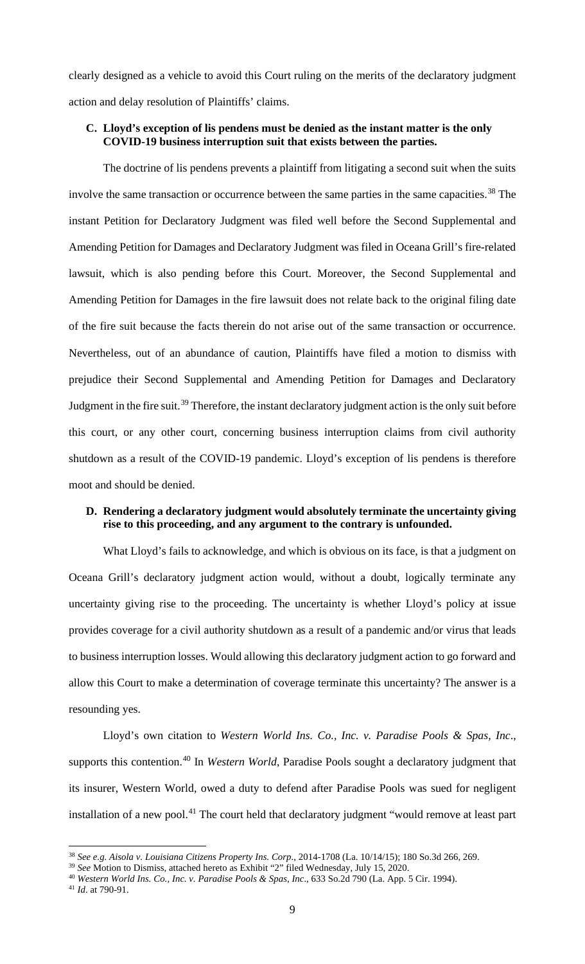clearly designed as a vehicle to avoid this Court ruling on the merits of the declaratory judgment action and delay resolution of Plaintiffs' claims.

# **C. Lloyd's exception of lis pendens must be denied as the instant matter is the only COVID-19 business interruption suit that exists between the parties.**

The doctrine of lis pendens prevents a plaintiff from litigating a second suit when the suits involve the same transaction or occurrence between the same parties in the same capacities.<sup>[38](#page-8-0)</sup> The instant Petition for Declaratory Judgment was filed well before the Second Supplemental and Amending Petition for Damages and Declaratory Judgment was filed in Oceana Grill's fire-related lawsuit, which is also pending before this Court. Moreover, the Second Supplemental and Amending Petition for Damages in the fire lawsuit does not relate back to the original filing date of the fire suit because the facts therein do not arise out of the same transaction or occurrence. Nevertheless, out of an abundance of caution, Plaintiffs have filed a motion to dismiss with prejudice their Second Supplemental and Amending Petition for Damages and Declaratory Judgment in the fire suit.<sup>[39](#page-8-1)</sup> Therefore, the instant declaratory judgment action is the only suit before this court, or any other court, concerning business interruption claims from civil authority shutdown as a result of the COVID-19 pandemic. Lloyd's exception of lis pendens is therefore moot and should be denied.

### **D. Rendering a declaratory judgment would absolutely terminate the uncertainty giving rise to this proceeding, and any argument to the contrary is unfounded.**

What Lloyd's fails to acknowledge, and which is obvious on its face, is that a judgment on Oceana Grill's declaratory judgment action would, without a doubt, logically terminate any uncertainty giving rise to the proceeding. The uncertainty is whether Lloyd's policy at issue provides coverage for a civil authority shutdown as a result of a pandemic and/or virus that leads to business interruption losses. Would allowing this declaratory judgment action to go forward and allow this Court to make a determination of coverage terminate this uncertainty? The answer is a resounding yes.

Lloyd's own citation to *Western World Ins. Co., Inc. v. Paradise Pools & Spas, Inc*., supports this contention.<sup>[40](#page-8-2)</sup> In *Western World*, Paradise Pools sought a declaratory judgment that its insurer, Western World, owed a duty to defend after Paradise Pools was sued for negligent installation of a new pool.<sup>[41](#page-8-3)</sup> The court held that declaratory judgment "would remove at least part

<span id="page-8-0"></span><sup>38</sup> *See e.g. Aisola v. Louisiana Citizens Property Ins. Corp*., 2014-1708 (La. 10/14/15); 180 So.3d 266, 269.

<span id="page-8-1"></span><sup>39</sup> *See* Motion to Dismiss, attached hereto as Exhibit "2" filed Wednesday, July 15, 2020.

<span id="page-8-2"></span><sup>40</sup> *Western World Ins. Co., Inc. v. Paradise Pools & Spas, Inc*., 633 So.2d 790 (La. App. 5 Cir. 1994).

<span id="page-8-3"></span><sup>41</sup> *Id*. at 790-91.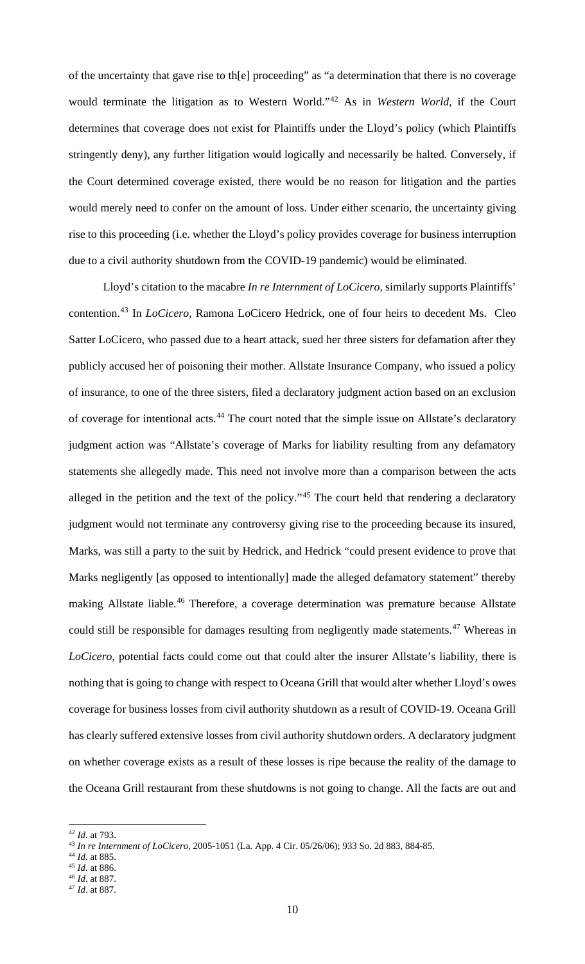of the uncertainty that gave rise to th[e] proceeding" as "a determination that there is no coverage would terminate the litigation as to Western World."[42](#page-9-0) As in *Western World*, if the Court determines that coverage does not exist for Plaintiffs under the Lloyd's policy (which Plaintiffs stringently deny), any further litigation would logically and necessarily be halted. Conversely, if the Court determined coverage existed, there would be no reason for litigation and the parties would merely need to confer on the amount of loss. Under either scenario, the uncertainty giving rise to this proceeding (i.e. whether the Lloyd's policy provides coverage for business interruption due to a civil authority shutdown from the COVID-19 pandemic) would be eliminated.

Lloyd's citation to the macabre *In re Internment of LoCicero*, similarly supports Plaintiffs' contention.[43](#page-9-1) In *LoCicero*, Ramona LoCicero Hedrick, one of four heirs to decedent Ms. Cleo Satter LoCicero, who passed due to a heart attack, sued her three sisters for defamation after they publicly accused her of poisoning their mother. Allstate Insurance Company, who issued a policy of insurance, to one of the three sisters, filed a declaratory judgment action based on an exclusion of coverage for intentional acts.<sup>[44](#page-9-2)</sup> The court noted that the simple issue on Allstate's declaratory judgment action was "Allstate's coverage of Marks for liability resulting from any defamatory statements she allegedly made. This need not involve more than a comparison between the acts alleged in the petition and the text of the policy."<sup>[45](#page-9-3)</sup> The court held that rendering a declaratory judgment would not terminate any controversy giving rise to the proceeding because its insured, Marks, was still a party to the suit by Hedrick, and Hedrick "could present evidence to prove that Marks negligently [as opposed to intentionally] made the alleged defamatory statement" thereby making Allstate liable.<sup>[46](#page-9-4)</sup> Therefore, a coverage determination was premature because Allstate could still be responsible for damages resulting from negligently made statements.<sup>[47](#page-9-5)</sup> Whereas in *LoCicero*, potential facts could come out that could alter the insurer Allstate's liability, there is nothing that is going to change with respect to Oceana Grill that would alter whether Lloyd's owes coverage for business losses from civil authority shutdown as a result of COVID-19. Oceana Grill has clearly suffered extensive losses from civil authority shutdown orders. A declaratory judgment on whether coverage exists as a result of these losses is ripe because the reality of the damage to the Oceana Grill restaurant from these shutdowns is not going to change. All the facts are out and

<span id="page-9-2"></span><sup>44</sup> *Id*. at 885.

<span id="page-9-0"></span><sup>42</sup> *Id*. at 793.

<span id="page-9-1"></span><sup>43</sup> *In re Internment of LoCicero*, 2005-1051 (La. App. 4 Cir. 05/26/06); 933 So. 2d 883, 884-85.

<span id="page-9-3"></span><sup>45</sup> *Id*. at 886.

<span id="page-9-4"></span><sup>46</sup> *Id*. at 887.

<span id="page-9-5"></span><sup>47</sup> *Id*. at 887.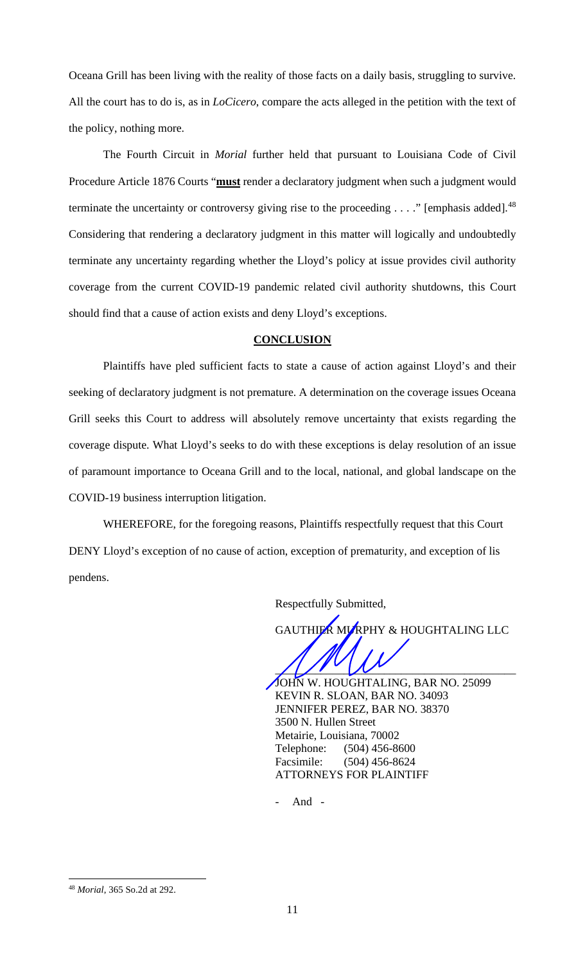Oceana Grill has been living with the reality of those facts on a daily basis, struggling to survive. All the court has to do is, as in *LoCicero*, compare the acts alleged in the petition with the text of the policy, nothing more.

The Fourth Circuit in *Morial* further held that pursuant to Louisiana Code of Civil Procedure Article 1876 Courts "**must** render a declaratory judgment when such a judgment would terminate the uncertainty or controversy giving rise to the proceeding  $\dots$ ." [emphasis added].<sup>[48](#page-10-0)</sup> Considering that rendering a declaratory judgment in this matter will logically and undoubtedly terminate any uncertainty regarding whether the Lloyd's policy at issue provides civil authority coverage from the current COVID-19 pandemic related civil authority shutdowns, this Court should find that a cause of action exists and deny Lloyd's exceptions.

#### **CONCLUSION**

Plaintiffs have pled sufficient facts to state a cause of action against Lloyd's and their seeking of declaratory judgment is not premature. A determination on the coverage issues Oceana Grill seeks this Court to address will absolutely remove uncertainty that exists regarding the coverage dispute. What Lloyd's seeks to do with these exceptions is delay resolution of an issue of paramount importance to Oceana Grill and to the local, national, and global landscape on the COVID-19 business interruption litigation.

WHEREFORE, for the foregoing reasons, Plaintiffs respectfully request that this Court DENY Lloyd's exception of no cause of action, exception of prematurity, and exception of lis pendens.

Respectfully Submitted,

GAUTHIER MURPHY & HOUGHTALING LLC

 $\frac{1}{2}$ JOHN W. HOUGHTALING, BAR NO. 25099 KEVIN R. SLOAN, BAR NO. 34093 JENNIFER PEREZ, BAR NO. 38370 3500 N. Hullen Street Metairie, Louisiana, 70002 Telephone: (504) 456-8600 Facsimile: (504) 456-8624 ATTORNEYS FOR PLAINTIFF

- And -

<span id="page-10-0"></span><sup>48</sup> *Morial*, 365 So.2d at 292.